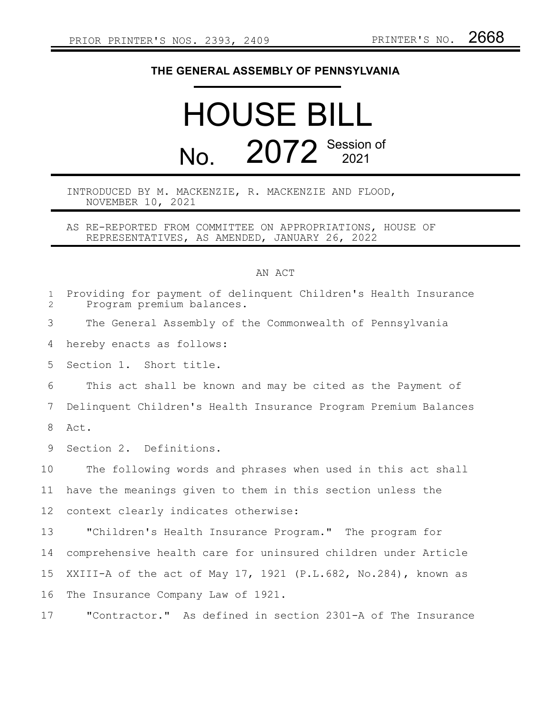## **THE GENERAL ASSEMBLY OF PENNSYLVANIA**

## HOUSE BILL No. 2072 Session of

## INTRODUCED BY M. MACKENZIE, R. MACKENZIE AND FLOOD, NOVEMBER 10, 2021

AS RE-REPORTED FROM COMMITTEE ON APPROPRIATIONS, HOUSE OF REPRESENTATIVES, AS AMENDED, JANUARY 26, 2022

## AN ACT

| $\mathbf{1}$<br>$\overline{2}$ | Providing for payment of delinquent Children's Health Insurance<br>Program premium balances. |
|--------------------------------|----------------------------------------------------------------------------------------------|
| 3                              | The General Assembly of the Commonwealth of Pennsylvania                                     |
| 4                              | hereby enacts as follows:                                                                    |
| 5                              | Section 1. Short title.                                                                      |
| 6                              | This act shall be known and may be cited as the Payment of                                   |
| 7                              | Delinquent Children's Health Insurance Program Premium Balances                              |
| 8                              | Act.                                                                                         |
| 9                              | Section 2. Definitions.                                                                      |
| 10                             | The following words and phrases when used in this act shall                                  |
| 11                             | have the meanings given to them in this section unless the                                   |
| $12 \overline{ }$              | context clearly indicates otherwise:                                                         |
| 13                             | "Children's Health Insurance Program." The program for                                       |
| 14                             | comprehensive health care for uninsured children under Article                               |
| 15                             | XXIII-A of the act of May 17, 1921 (P.L.682, No.284), known as                               |
| 16                             | The Insurance Company Law of 1921.                                                           |
| 17                             | "Contractor." As defined in section 2301-A of The Insurance                                  |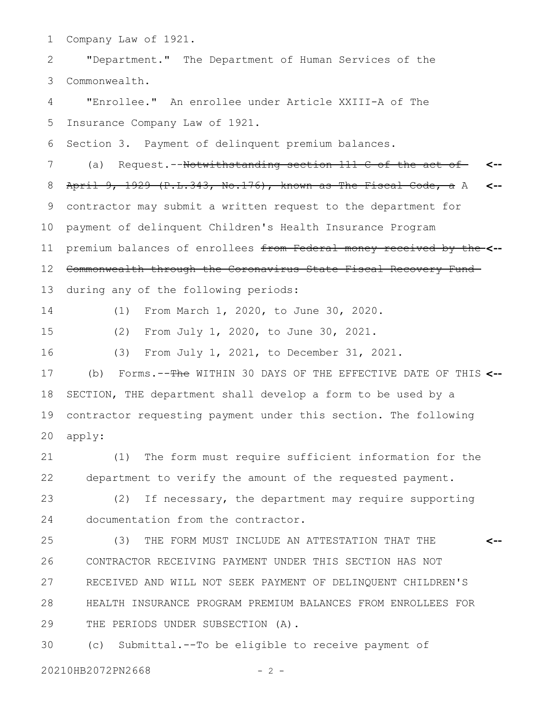Company Law of 1921. 1

"Department." The Department of Human Services of the Commonwealth. 2 3

"Enrollee." An enrollee under Article XXIII-A of The Insurance Company Law of 1921. 4 5

Section 3. Payment of delinquent premium balances. 6

(a) Request.--Notwithstanding section 111-C of the act of-April 9, 1929 (P.L.343, No.176), known as The Fiscal Code, a A contractor may submit a written request to the department for payment of delinquent Children's Health Insurance Program premium balances of enrollees from Federal money received by the **<--** Commonwealth through the Coronavirus State Fiscal Recovery Fund during any of the following periods: **<-- <--** 7 8 9 10 11 12 13

14

15

(2) From July 1, 2020, to June 30, 2021.

16

(3) From July 1, 2021, to December 31, 2021.

(1) From March 1, 2020, to June 30, 2020.

(b) Forms.--The WITHIN 30 DAYS OF THE EFFECTIVE DATE OF THIS **<--** SECTION, THE department shall develop a form to be used by a contractor requesting payment under this section. The following apply: 17 18 19 20

(1) The form must require sufficient information for the department to verify the amount of the requested payment. 21 22

(2) If necessary, the department may require supporting documentation from the contractor. 23 24

(3) THE FORM MUST INCLUDE AN ATTESTATION THAT THE CONTRACTOR RECEIVING PAYMENT UNDER THIS SECTION HAS NOT RECEIVED AND WILL NOT SEEK PAYMENT OF DELINQUENT CHILDREN'S HEALTH INSURANCE PROGRAM PREMIUM BALANCES FROM ENROLLEES FOR THE PERIODS UNDER SUBSECTION (A). **<--** 25 26 27 28 29

(c) Submittal.--To be eligible to receive payment of 30

20210HB2072PN2668 - 2 -